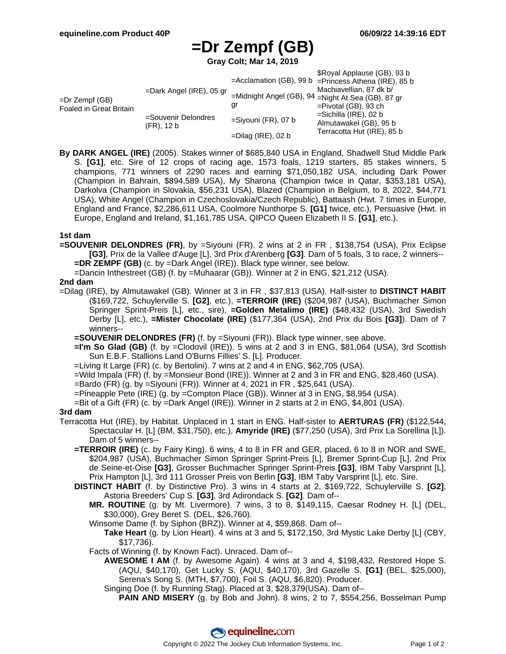# **=Dr Zempf (GB)**

**Gray Colt; Mar 14, 2019**

|                                             |                                   |                        | \$Royal Applause (GB), 93 b                                |
|---------------------------------------------|-----------------------------------|------------------------|------------------------------------------------------------|
| $=Dr$ Zempf (GB)<br>Foaled in Great Britain | $=$ Dark Angel (IRE), 05 gr       |                        | $=$ Acclamation (GB), 99 b $=$ Princess Athena (IRE), 85 b |
|                                             |                                   |                        | Machiavellian, 87 dk b/                                    |
|                                             |                                   |                        | =Midnight Angel (GB), 94 =Night At Sea (GB), 87 gr         |
|                                             | =Souvenir Delondres<br>(FR), 12 b | gr                     | $=$ Pivotal (GB), 93 ch                                    |
|                                             |                                   | $=$ Siyouni (FR), 07 b | $=$ Sichilla (IRE), 02 b                                   |
|                                             |                                   |                        | Almutawakel (GB), 95 b                                     |
|                                             |                                   | $=$ Dilag (IRE), 02 b  | Terracotta Hut (IRE), 85 b                                 |

**By DARK ANGEL (IRE)** (2005). Stakes winner of \$685,840 USA in England, Shadwell Stud Middle Park S. **[G1]**, etc. Sire of 12 crops of racing age, 1573 foals, 1219 starters, 85 stakes winners, 5 champions, 771 winners of 2290 races and earning \$71,050,182 USA, including Dark Power (Champion in Bahrain, \$894,589 USA), My Sharona (Champion twice in Qatar, \$353,181 USA), Darkolva (Champion in Slovakia, \$56,231 USA), Blazed (Champion in Belgium, to 8, 2022, \$44,771 USA), White Angel (Champion in Czechoslovakia/Czech Republic), Battaash (Hwt. 7 times in Europe, England and France, \$2,286,611 USA, Coolmore Nunthorpe S. **[G1]** twice, etc.), Persuasive (Hwt. in Europe, England and Ireland, \$1,161,785 USA, QIPCO Queen Elizabeth II S. **[G1]**, etc.).

#### **1st dam**

**=SOUVENIR DELONDRES (FR)**, by =Siyouni (FR). 2 wins at 2 in FR , \$138,754 (USA), Prix Eclipse **[G3]**, Prix de la Vallee d'Auge [L], 3rd Prix d'Arenberg **[G3]**. Dam of 5 foals, 3 to race, 2 winners-- **=DR ZEMPF (GB)** (c. by =Dark Angel (IRE)). Black type winner, see below.

=Dancin Inthestreet (GB) (f. by =Muhaarar (GB)). Winner at 2 in ENG, \$21,212 (USA).

### **2nd dam**

=Dilag (IRE), by Almutawakel (GB). Winner at 3 in FR , \$37,813 (USA). Half-sister to **DISTINCT HABIT** (\$169,722, Schuylerville S. **[G2]**, etc.), **=TERROIR (IRE)** (\$204,987 (USA), Buchmacher Simon Springer Sprint-Preis [L], etc., sire), **=Golden Metalimo (IRE)** (\$48,432 (USA), 3rd Swedish Derby [L], etc.), **=Mister Chocolate (IRE)** (\$177,364 (USA), 2nd Prix du Bois **[G3]**). Dam of 7 winners--

**=SOUVENIR DELONDRES (FR)** (f. by =Siyouni (FR)). Black type winner, see above.

- **=I'm So Glad (GB)** (f. by =Clodovil (IRE)). 5 wins at 2 and 3 in ENG, \$81,064 (USA), 3rd Scottish Sun E.B.F. Stallions Land O'Burns Fillies' S. [L]. Producer.
- =Living It Large (FR) (c. by Bertolini). 7 wins at 2 and 4 in ENG, \$62,705 (USA).
- =Wild Impala (FR) (f. by =Monsieur Bond (IRE)). Winner at 2 and 3 in FR and ENG, \$28,460 (USA).
- =Bardo (FR) (g. by =Siyouni (FR)). Winner at 4, 2021 in FR , \$25,641 (USA).
- =Pineapple Pete (IRE) (g. by =Compton Place (GB)). Winner at 3 in ENG, \$8,954 (USA).
- =Bit of a Gift (FR) (c. by =Dark Angel (IRE)). Winner in 2 starts at 2 in ENG, \$4,801 (USA).

### **3rd dam**

- Terracotta Hut (IRE), by Habitat. Unplaced in 1 start in ENG. Half-sister to **AERTURAS (FR)** (\$122,544, Spectacular H. [L] (BM, \$31,750), etc.), **Amyride (IRE)** (\$77,250 (USA), 3rd Prix La Sorellina [L]). Dam of 5 winners--
	- **=TERROIR (IRE)** (c. by Fairy King). 6 wins, 4 to 8 in FR and GER, placed, 6 to 8 in NOR and SWE, \$204,987 (USA), Buchmacher Simon Springer Sprint-Preis [L], Bremer Sprint-Cup [L], 2nd Prix de Seine-et-Oise **[G3]**, Grosser Buchmacher Springer Sprint-Preis **[G3]**, IBM Taby Varsprint [L], Prix Hampton [L], 3rd 111 Grosser Preis von Berlin **[G3]**, IBM Taby Varsprint [L], etc. Sire.
	- **DISTINCT HABIT** (f. by Distinctive Pro). 3 wins in 4 starts at 2, \$169,722, Schuylerville S. **[G2]**, Astoria Breeders' Cup S. **[G3]**, 3rd Adirondack S. **[G2]**. Dam of--
		- **MR. ROUTINE** (g. by Mt. Livermore). 7 wins, 3 to 8, \$149,115, Caesar Rodney H. [L] (DEL, \$30,000), Grey Beret S. (DEL, \$26,760).
		- Winsome Dame (f. by Siphon (BRZ)). Winner at 4, \$59,868. Dam of--
			- **Take Heart** (g. by Lion Heart). 4 wins at 3 and 5, \$172,150, 3rd Mystic Lake Derby [L] (CBY, \$17,736).
		- Facts of Winning (f. by Known Fact). Unraced. Dam of--
			- **AWESOME I AM** (f. by Awesome Again). 4 wins at 3 and 4, \$198,432, Restored Hope S. (AQU, \$40,170), Get Lucky S. (AQU, \$40,170), 3rd Gazelle S. **[G1]** (BEL, \$25,000), Serena's Song S. (MTH, \$7,700), Foil S. (AQU, \$6,820). Producer.
			- Singing Doe (f. by Running Stag). Placed at 3, \$28,379(USA). Dam of--
				- **PAIN AND MISERY** (g. by Bob and John). 8 wins, 2 to 7, \$554,256, Bosselman Pump